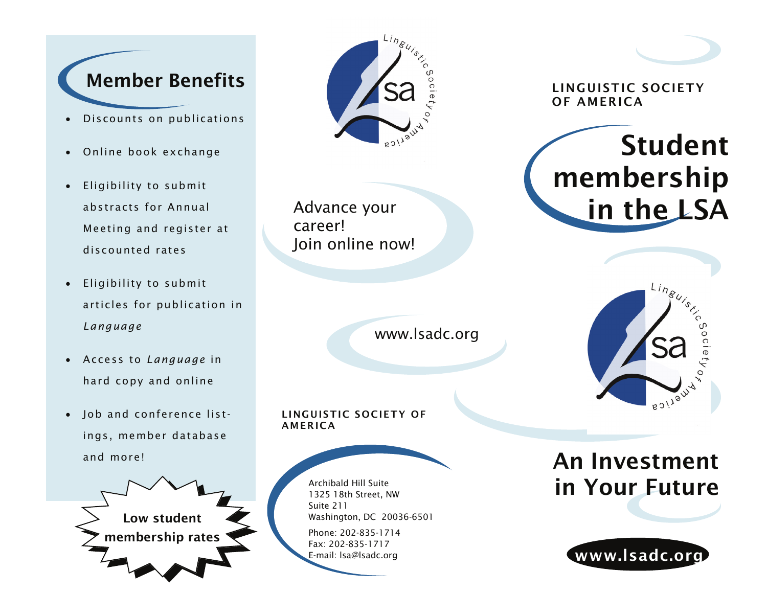# Member Benefits

- •Discounts on publications
- •Online book exchange
- $\bullet$  Eligibility to submit abstracts for Annual Meeting and register at discounted rates
- • Eligibility to submit articles for publication in *Language*
- $\bullet$  Access to *Language* in hard copy and online
- Job and conference listings, member database and more!

Low student membership rates



Advance your career! Join online now!

www.lsadc.org

#### LINGUISTIC SOCIETY OF AMERICA

Archibald Hill Suite 1325 18th Street, NW Suite 211 Washington, DC 20036-6501

Phone: 202-835-1714 Fax: 202-835-1717 E-mail: lsa@lsadc.org



LINGUISTIC SOCIETY OF AMERICA





# An Investment in Your Future